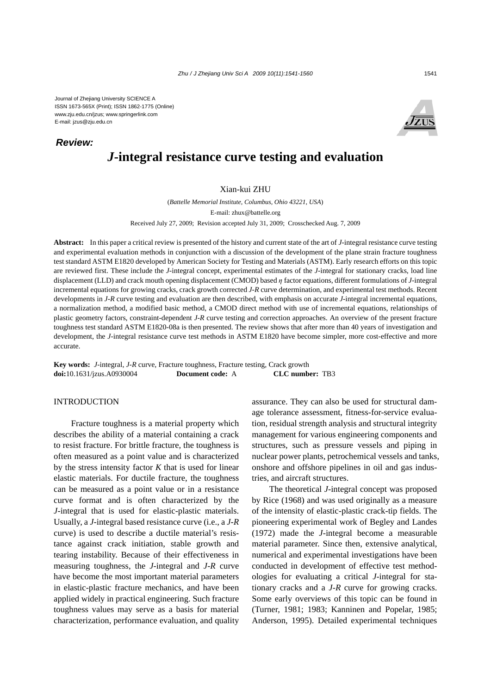Journal of Zhejiang University SCIENCE A ISSN 1673-565X (Print); ISSN 1862-1775 (Online) www.zju.edu.cn/jzus; www.springerlink.com E-mail: jzus@zju.edu.cn

*Review:*



# *J***-integral resistance curve testing and evaluation**

#### Xian-kui ZHU

(*Battelle Memorial Institute, Columbus, Ohio 43221, USA*) E-mail: zhux@battelle.org Received July 27, 2009; Revision accepted July 31, 2009; Crosschecked Aug. 7, 2009

**Abstract:** In this paper a critical review is presented of the history and current state of the art of *J*-integral resistance curve testing and experimental evaluation methods in conjunction with a discussion of the development of the plane strain fracture toughness test standard ASTM E1820 developed by American Society for Testing and Materials (ASTM). Early research efforts on this topic are reviewed first. These include the *J*-integral concept, experimental estimates of the *J*-integral for stationary cracks, load line displacement (LLD) and crack mouth opening displacement (CMOD) based *η* factor equations, different formulations of *J*-integral incremental equations for growing cracks, crack growth corrected *J*-*R* curve determination, and experimental test methods. Recent developments in *J*-*R* curve testing and evaluation are then described, with emphasis on accurate *J*-integral incremental equations, a normalization method, a modified basic method, a CMOD direct method with use of incremental equations, relationships of plastic geometry factors, constraint-dependent *J*-*R* curve testing and correction approaches. An overview of the present fracture toughness test standard ASTM E1820-08a is then presented. The review shows that after more than 40 years of investigation and development, the *J*-integral resistance curve test methods in ASTM E1820 have become simpler, more cost-effective and more accurate.

**Key words:** *J*-integral, *J*-*R* curve, Fracture toughness, Fracture testing, Crack growth **doi:**10.1631/jzus.A0930004 **Document code:** A **CLC number:** TB3

# **INTRODUCTION**

Fracture toughness is a material property which describes the ability of a material containing a crack to resist fracture. For brittle fracture, the toughness is often measured as a point value and is characterized by the stress intensity factor *K* that is used for linear elastic materials. For ductile fracture, the toughness can be measured as a point value or in a resistance curve format and is often characterized by the *J*-integral that is used for elastic-plastic materials. Usually, a *J*-integral based resistance curve (i.e., a *J*-*R* curve) is used to describe a ductile material's resistance against crack initiation, stable growth and tearing instability. Because of their effectiveness in measuring toughness, the *J*-integral and *J*-*R* curve have become the most important material parameters in elastic-plastic fracture mechanics, and have been applied widely in practical engineering. Such fracture toughness values may serve as a basis for material characterization, performance evaluation, and quality assurance. They can also be used for structural damage tolerance assessment, fitness-for-service evaluation, residual strength analysis and structural integrity management for various engineering components and structures, such as pressure vessels and piping in nuclear power plants, petrochemical vessels and tanks, onshore and offshore pipelines in oil and gas industries, and aircraft structures.

The theoretical *J*-integral concept was proposed by Rice (1968) and was used originally as a measure of the intensity of elastic-plastic crack-tip fields. The pioneering experimental work of Begley and Landes (1972) made the *J*-integral become a measurable material parameter. Since then, extensive analytical, numerical and experimental investigations have been conducted in development of effective test methodologies for evaluating a critical *J*-integral for stationary cracks and a *J*-*R* curve for growing cracks. Some early overviews of this topic can be found in (Turner, 1981; 1983; Kanninen and Popelar, 1985; Anderson, 1995). Detailed experimental techniques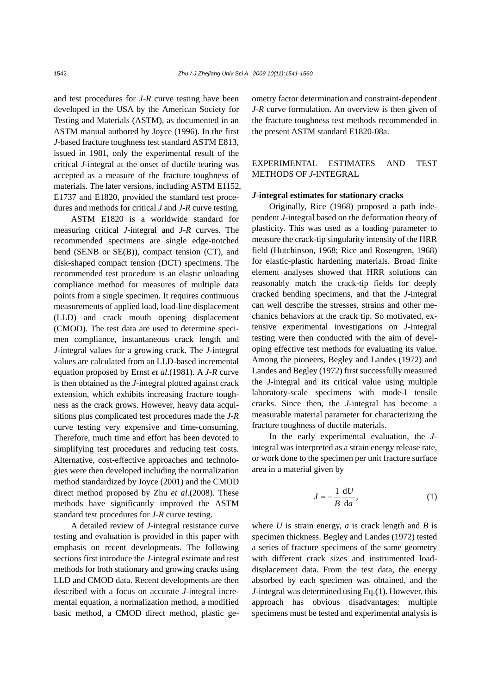and test procedures for *J*-*R* curve testing have been developed in the USA by the American Society for Testing and Materials (ASTM), as documented in an ASTM manual authored by Joyce (1996). In the first *J*-based fracture toughness test standard ASTM E813, issued in 1981, only the experimental result of the critical *J*-integral at the onset of ductile tearing was accepted as a measure of the fracture toughness of materials. The later versions, including ASTM E1152, E1737 and E1820, provided the standard test procedures and methods for critical *J* and *J*-*R* curve testing.

ASTM E1820 is a worldwide standard for measuring critical *J*-integral and *J*-*R* curves. The recommended specimens are single edge-notched bend (SENB or SE(B)), compact tension (CT), and disk-shaped compact tension (DCT) specimens. The recommended test procedure is an elastic unloading compliance method for measures of multiple data points from a single specimen. It requires continuous measurements of applied load, load-line displacement (LLD) and crack mouth opening displacement (CMOD). The test data are used to determine specimen compliance, instantaneous crack length and *J*-integral values for a growing crack. The *J*-integral values are calculated from an LLD-based incremental equation proposed by Ernst *et al*.(1981). A *J*-*R* curve is then obtained as the *J*-integral plotted against crack extension, which exhibits increasing fracture toughness as the crack grows. However, heavy data acquisitions plus complicated test procedures made the *J*-*R* curve testing very expensive and time-consuming. Therefore, much time and effort has been devoted to simplifying test procedures and reducing test costs. Alternative, cost-effective approaches and technologies were then developed including the normalization method standardized by Joyce (2001) and the CMOD direct method proposed by Zhu *et al*.(2008). These methods have significantly improved the ASTM standard test procedures for *J*-*R* curve testing.

A detailed review of *J*-integral resistance curve testing and evaluation is provided in this paper with emphasis on recent developments. The following sections first introduce the *J*-integral estimate and test methods for both stationary and growing cracks using LLD and CMOD data. Recent developments are then described with a focus on accurate *J*-integral incremental equation, a normalization method, a modified basic method, a CMOD direct method, plastic geometry factor determination and constraint-dependent *J*-*R* curve formulation. An overview is then given of the fracture toughness test methods recommended in the present ASTM standard E1820-08a.

# EXPERIMENTAL ESTIMATES AND TEST METHODS OF *J*-INTEGRAL

#### *J*-**integral estimates for stationary cracks**

Originally, Rice (1968) proposed a path independent *J*-integral based on the deformation theory of plasticity. This was used as a loading parameter to measure the crack-tip singularity intensity of the HRR field (Hutchinson, 1968; Rice and Rosengren, 1968) for elastic-plastic hardening materials. Broad finite element analyses showed that HRR solutions can reasonably match the crack-tip fields for deeply cracked bending specimens, and that the *J*-integral can well describe the stresses, strains and other mechanics behaviors at the crack tip. So motivated, extensive experimental investigations on *J*-integral testing were then conducted with the aim of developing effective test methods for evaluating its value. Among the pioneers, Begley and Landes (1972) and Landes and Begley (1972) first successfully measured the *J*-integral and its critical value using multiple laboratory-scale specimens with mode-I tensile cracks. Since then, the *J*-integral has become a measurable material parameter for characterizing the fracture toughness of ductile materials.

In the early experimental evaluation, the *J*integral was interpreted as a strain energy release rate, or work done to the specimen per unit fracture surface area in a material given by

$$
J = -\frac{1}{B} \frac{\mathrm{d}U}{\mathrm{d}a},\tag{1}
$$

where *U* is strain energy, *a* is crack length and *B* is specimen thickness. Begley and Landes (1972) tested a series of fracture specimens of the same geometry with different crack sizes and instrumented loaddisplacement data. From the test data, the energy absorbed by each specimen was obtained, and the *J*-integral was determined using Eq.(1). However, this approach has obvious disadvantages: multiple specimens must be tested and experimental analysis is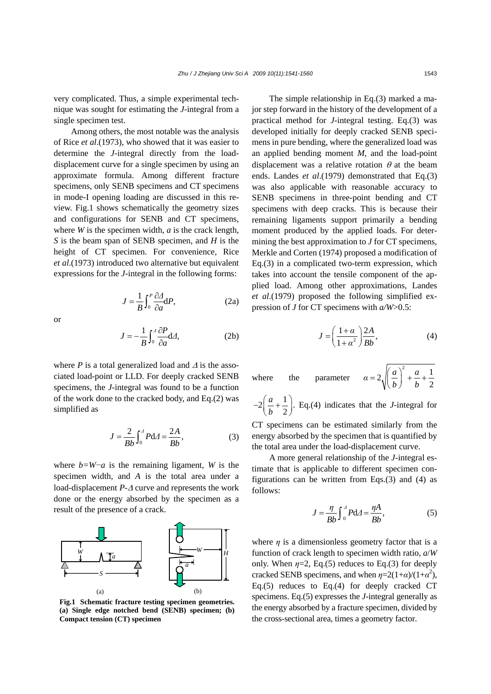very complicated. Thus, a simple experimental technique was sought for estimating the *J*-integral from a single specimen test.

Among others, the most notable was the analysis of Rice *et al*.(1973), who showed that it was easier to determine the *J*-integral directly from the loaddisplacement curve for a single specimen by using an approximate formula. Among different fracture specimens, only SENB specimens and CT specimens in mode-I opening loading are discussed in this review. Fig.1 shows schematically the geometry sizes and configurations for SENB and CT specimens, where  $W$  is the specimen width,  $a$  is the crack length, *S* is the beam span of SENB specimen, and *H* is the height of CT specimen. For convenience, Rice *et al*.(1973) introduced two alternative but equivalent expressions for the *J*-integral in the following forms:

$$
J = \frac{1}{B} \int_0^P \frac{\partial A}{\partial a} dP,\tag{2a}
$$

or

$$
J = -\frac{1}{B} \int_0^A \frac{\partial P}{\partial a} dA,\tag{2b}
$$

where *P* is a total generalized load and  $\Delta$  is the associated load-point or LLD. For deeply cracked SENB specimens, the *J*-integral was found to be a function of the work done to the cracked body, and Eq.(2) was simplified as

$$
J = \frac{2}{Bb} \int_0^A P dA = \frac{2A}{Bb},
$$
 (3)

where *b=W*−*a* is the remaining ligament, *W* is the specimen width, and *A* is the total area under a load-displacement *P*-Δ curve and represents the work done or the energy absorbed by the specimen as a result of the presence of a crack.



**Fig.1 Schematic fracture testing specimen geometries. (a) Single edge notched bend (SENB) specimen; (b) Compact tension (CT) specimen** 

The simple relationship in Eq.(3) marked a major step forward in the history of the development of a practical method for *J*-integral testing. Eq.(3) was developed initially for deeply cracked SENB specimens in pure bending, where the generalized load was an applied bending moment *M*, and the load-point displacement was a relative rotation  $\theta$  at the beam ends. Landes *et al*.(1979) demonstrated that Eq.(3) was also applicable with reasonable accuracy to SENB specimens in three-point bending and CT specimens with deep cracks. This is because their remaining ligaments support primarily a bending moment produced by the applied loads. For determining the best approximation to *J* for CT specimens, Merkle and Corten (1974) proposed a modification of Eq.(3) in a complicated two-term expression, which takes into account the tensile component of the applied load. Among other approximations, Landes *et al*.(1979) proposed the following simplified expression of *J* for CT specimens with *a/W*>0.5:

$$
J = \left(\frac{1+\alpha}{1+\alpha^2}\right)\frac{2A}{Bb},\tag{4}
$$

*α* =

where the parameter

$$
=2\sqrt{\left(\frac{a}{b}\right)^2+\frac{a}{b}+\frac{1}{2}}
$$

 $2\left(\frac{a}{1} + \frac{1}{2}\right)$  $-2\left(\frac{a}{b} + \frac{1}{2}\right)$ . Eq.(4) indicates that the *J*-integral for

CT specimens can be estimated similarly from the energy absorbed by the specimen that is quantified by the total area under the load-displacement curve.

A more general relationship of the *J*-integral estimate that is applicable to different specimen configurations can be written from Eqs. $(3)$  and  $(4)$  as follows:

$$
J = \frac{\eta}{Bb} \int_0^A P dA = \frac{\eta A}{Bb},
$$
 (5)

where  $\eta$  is a dimensionless geometry factor that is a function of crack length to specimen width ratio, *a*/*W* only. When  $\eta = 2$ , Eq.(5) reduces to Eq.(3) for deeply cracked SENB specimens, and when  $\eta = 2(1+\alpha)/(1+\alpha^2)$ , Eq.(5) reduces to Eq.(4) for deeply cracked CT specimens. Eq.(5) expresses the *J*-integral generally as the energy absorbed by a fracture specimen, divided by the cross-sectional area, times a geometry factor.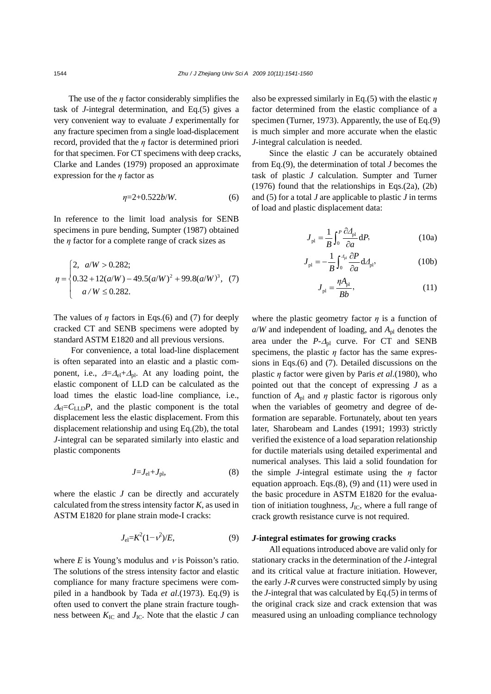The use of the *η* factor considerably simplifies the task of *J*-integral determination, and Eq.(5) gives a very convenient way to evaluate *J* experimentally for any fracture specimen from a single load-displacement record, provided that the *η* factor is determined priori for that specimen. For CT specimens with deep cracks, Clarke and Landes (1979) proposed an approximate expression for the *η* factor as

$$
\eta = 2 + 0.522b/W. \tag{6}
$$

In reference to the limit load analysis for SENB specimens in pure bending, Sumpter (1987) obtained the  $\eta$  factor for a complete range of crack sizes as

$$
\eta = \begin{cases} 2, & a/W > 0.282; \\ 0.32 + 12(a/W) - 49.5(a/W)^2 + 99.8(a/W)^3, & (7) \\ a/W \le 0.282. \end{cases}
$$

The values of  $\eta$  factors in Eqs.(6) and (7) for deeply cracked CT and SENB specimens were adopted by standard ASTM E1820 and all previous versions.

For convenience, a total load-line displacement is often separated into an elastic and a plastic component, i.e.,  $\Delta = \Delta_{el} + \Delta_{pl}$ . At any loading point, the elastic component of LLD can be calculated as the load times the elastic load-line compliance, i.e.,  $\Delta_{el} = C_{LLD}P$ , and the plastic component is the total displacement less the elastic displacement. From this displacement relationship and using Eq.(2b), the total *J*-integral can be separated similarly into elastic and plastic components

$$
J = Jel + Jpl, \t\t(8)
$$

where the elastic *J* can be directly and accurately calculated from the stress intensity factor *K*, as used in ASTM E1820 for plane strain mode-I cracks:

$$
J_{\rm el} = K^2 (1 - v^2) / E,\tag{9}
$$

where  $E$  is Young's modulus and  $\nu$  is Poisson's ratio. The solutions of the stress intensity factor and elastic compliance for many fracture specimens were compiled in a handbook by Tada *et al*.(1973). Eq.(9) is often used to convert the plane strain fracture toughness between  $K_{\text{IC}}$  and  $J_{\text{IC}}$ . Note that the elastic *J* can also be expressed similarly in Eq.(5) with the elastic *η* factor determined from the elastic compliance of a specimen (Turner, 1973). Apparently, the use of Eq.(9) is much simpler and more accurate when the elastic *J*-integral calculation is needed.

Since the elastic *J* can be accurately obtained from Eq.(9), the determination of total *J* becomes the task of plastic *J* calculation. Sumpter and Turner  $(1976)$  found that the relationships in Eqs. $(2a)$ ,  $(2b)$ and (5) for a total *J* are applicable to plastic *J* in terms of load and plastic displacement data:

$$
J_{\rm pl} = \frac{1}{B} \int_0^P \frac{\partial \Delta_{\rm pl}}{\partial a} \, \mathrm{d}P,\tag{10a}
$$

$$
J_{\rm pl} = -\frac{1}{B} \int_0^{A_{\rm pl}} \frac{\partial P}{\partial a} \mathrm{d}A_{\rm pl},\tag{10b}
$$

$$
J_{\rm pl} = \frac{\eta A_{\rm pl}}{Bb},\tag{11}
$$

where the plastic geometry factor  $\eta$  is a function of  $a/W$  and independent of loading, and  $A<sub>pl</sub>$  denotes the area under the  $P-\Delta_{\text{pl}}$  curve. For CT and SENB specimens, the plastic *η* factor has the same expressions in Eqs.(6) and (7). Detailed discussions on the plastic *η* factor were given by Paris *et al*.(1980), who pointed out that the concept of expressing *J* as a function of  $A_{\text{pl}}$  and  $\eta$  plastic factor is rigorous only when the variables of geometry and degree of deformation are separable. Fortunately, about ten years later, Sharobeam and Landes (1991; 1993) strictly verified the existence of a load separation relationship for ductile materials using detailed experimental and numerical analyses. This laid a solid foundation for the simple *J*-integral estimate using the *η* factor equation approach. Eqs.(8), (9) and (11) were used in the basic procedure in ASTM E1820 for the evaluation of initiation toughness,  $J_{\text{IC}}$ , where a full range of crack growth resistance curve is not required.

#### *J***-integral estimates for growing cracks**

All equations introduced above are valid only for stationary cracks in the determination of the *J*-integral and its critical value at fracture initiation. However, the early *J*-*R* curves were constructed simply by using the *J*-integral that was calculated by Eq.(5) in terms of the original crack size and crack extension that was measured using an unloading compliance technology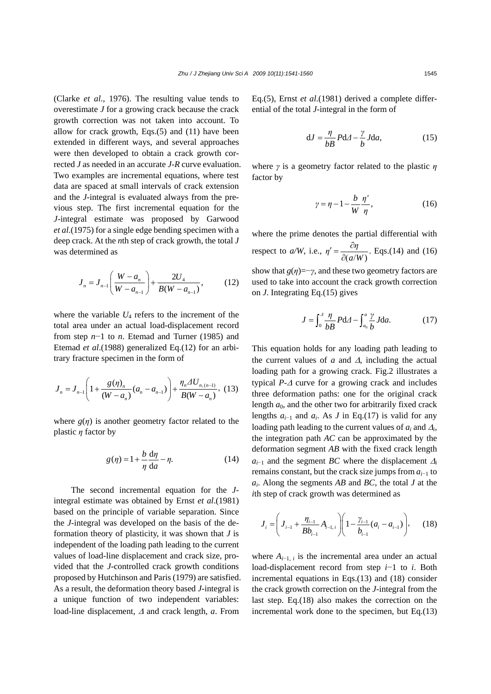(Clarke *et al*., 1976). The resulting value tends to overestimate *J* for a growing crack because the crack growth correction was not taken into account. To allow for crack growth, Eqs.(5) and (11) have been extended in different ways, and several approaches were then developed to obtain a crack growth corrected *J* as needed in an accurate *J*-*R* curve evaluation. Two examples are incremental equations, where test data are spaced at small intervals of crack extension and the *J*-integral is evaluated always from the previous step. The first incremental equation for the *J*-integral estimate was proposed by Garwood *et al*.(1975) for a single edge bending specimen with a deep crack. At the *n*th step of crack growth, the total *J* was determined as

$$
J_n = J_{n-1} \left( \frac{W - a_n}{W - a_{n-1}} \right) + \frac{2U_4}{B(W - a_{n-1})},
$$
 (12)

where the variable  $U_4$  refers to the increment of the total area under an actual load-displacement record from step *n*−1 to *n*. Etemad and Turner (1985) and Etemad *et al*.(1988) generalized Eq.(12) for an arbitrary fracture specimen in the form of

$$
J_{n} = J_{n-1} \left( 1 + \frac{g(\eta)_{n}}{(W - a_{n})} (a_{n} - a_{n-1}) \right) + \frac{\eta_{n} \Delta U_{n,(n-1)}}{B(W - a_{n})},
$$
(13)

where  $g(\eta)$  is another geometry factor related to the plastic *η* factor by

$$
g(\eta) = 1 + \frac{b}{\eta} \frac{d\eta}{da} - \eta.
$$
 (14)

The second incremental equation for the *J*integral estimate was obtained by Ernst *et al*.(1981) based on the principle of variable separation. Since the *J*-integral was developed on the basis of the deformation theory of plasticity, it was shown that *J* is independent of the loading path leading to the current values of load-line displacement and crack size, provided that the *J*-controlled crack growth conditions proposed by Hutchinson and Paris (1979) are satisfied. As a result, the deformation theory based *J*-integral is a unique function of two independent variables: load-line displacement, Δ and crack length, *a*. From

Eq.(5), Ernst *et al*.(1981) derived a complete differential of the total *J*-integral in the form of

$$
dJ = \frac{\eta}{b} P dA - \frac{\gamma}{b} J d a,\tag{15}
$$

where *γ* is a geometry factor related to the plastic *η* factor by

$$
\gamma = \eta - 1 - \frac{b}{W} \frac{\eta'}{\eta},\tag{16}
$$

where the prime denotes the partial differential with respect to *a/W*, i.e.,  $\eta' = \frac{\partial \eta}{\partial (a/W)}$ . Eqs.(14) and (16) show that  $g(\eta) = -\gamma$ , and these two geometry factors are used to take into account the crack growth correction on *J*. Integrating Eq.(15) gives

$$
J = \int_0^A \frac{\eta}{b} B \, P \, dA - \int_{a_0}^a \frac{\gamma}{b} \, J \, da. \tag{17}
$$

This equation holds for any loading path leading to the current values of  $a$  and  $\Delta$ , including the actual loading path for a growing crack. Fig.2 illustrates a typical *P*-Δ curve for a growing crack and includes three deformation paths: one for the original crack length  $a_0$ , and the other two for arbitrarily fixed crack lengths *ai*−1 and *ai*. As *J* in Eq.(17) is valid for any loading path leading to the current values of  $a_i$  and  $\Delta_i$ , the integration path *AC* can be approximated by the deformation segment *AB* with the fixed crack length  $a_{i-1}$  and the segment *BC* where the displacement  $\Delta_i$ remains constant, but the crack size jumps from *ai*−1 to *ai*. Along the segments *AB* and *BC*, the total *J* at the *i*th step of crack growth was determined as

$$
J_i = \left( J_{i-1} + \frac{\eta_{i-1}}{Bb_{i-1}} A_{i-1,i} \right) \left( 1 - \frac{\gamma_{i-1}}{b_{i-1}} (a_i - a_{i-1}) \right), \quad (18)
$$

where  $A_{i-1,i}$  is the incremental area under an actual load-displacement record from step *i*−1 to *i*. Both incremental equations in Eqs.(13) and (18) consider the crack growth correction on the *J*-integral from the last step. Eq.(18) also makes the correction on the incremental work done to the specimen, but Eq.(13)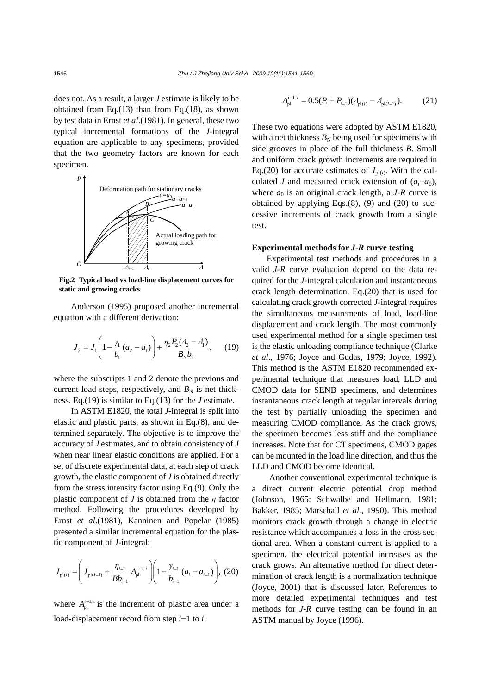does not. As a result, a larger *J* estimate is likely to be obtained from Eq. $(13)$  than from Eq. $(18)$ , as shown by test data in Ernst *et al*.(1981). In general, these two typical incremental formations of the *J*-integral equation are applicable to any specimens, provided that the two geometry factors are known for each specimen.



**Fig.2 Typical load vs load-line displacement curves for static and growing cracks** 

Anderson (1995) proposed another incremental equation with a different derivation:

$$
J_2 = J_1 \left( 1 - \frac{\gamma_1}{b_1} (a_2 - a_1) \right) + \frac{\eta_2 P_2 (a_2 - a_1)}{B_N b_2},
$$
 (19)

where the subscripts 1 and 2 denote the previous and current load steps, respectively, and  $B<sub>N</sub>$  is net thickness. Eq.(19) is similar to Eq.(13) for the *J* estimate.

In ASTM E1820, the total *J*-integral is split into elastic and plastic parts, as shown in Eq.(8), and determined separately. The objective is to improve the accuracy of *J* estimates, and to obtain consistency of *J* when near linear elastic conditions are applied. For a set of discrete experimental data, at each step of crack growth, the elastic component of *J* is obtained directly from the stress intensity factor using Eq.(9). Only the plastic component of *J* is obtained from the *η* factor method. Following the procedures developed by Ernst *et al*.(1981), Kanninen and Popelar (1985) presented a similar incremental equation for the plastic component of *J*-integral:

$$
J_{\mathrm{pl}(i)} = \left( J_{\mathrm{pl}(i-1)} + \frac{\eta_{i-1}}{B b_{i-1}} A_{\mathrm{pl}}^{i-1, i} \right) \left( 1 - \frac{\gamma_{i-1}}{b_{i-1}} (a_i - a_{i-1}) \right), (20)
$$

where  $A_{pl}^{i-1,i}$  is the increment of plastic area under a load-displacement record from step *i*−1 to *i*:

$$
A_{\rm pl}^{i-1,i} = 0.5(P_i + P_{i-1})(A_{\rm pl(i)} - A_{\rm pl(i-1)}).
$$
 (21)

These two equations were adopted by ASTM E1820, with a net thickness  $B_N$  being used for specimens with side grooves in place of the full thickness *B*. Small and uniform crack growth increments are required in Eq.(20) for accurate estimates of  $J_{pl(i)}$ . With the calculated *J* and measured crack extension of  $(a_i - a_0)$ , where  $a_0$  is an original crack length, a  $J$ - $R$  curve is obtained by applying Eqs. $(8)$ ,  $(9)$  and  $(20)$  to successive increments of crack growth from a single test.

## **Experimental methods for** *J***-***R* **curve testing**

Experimental test methods and procedures in a valid *J*-*R* curve evaluation depend on the data required for the *J*-integral calculation and instantaneous crack length determination. Eq.(20) that is used for calculating crack growth corrected *J*-integral requires the simultaneous measurements of load, load-line displacement and crack length. The most commonly used experimental method for a single specimen test is the elastic unloading compliance technique (Clarke *et al*., 1976; Joyce and Gudas, 1979; Joyce, 1992). This method is the ASTM E1820 recommended experimental technique that measures load, LLD and CMOD data for SENB specimens, and determines instantaneous crack length at regular intervals during the test by partially unloading the specimen and measuring CMOD compliance. As the crack grows, the specimen becomes less stiff and the compliance increases. Note that for CT specimens, CMOD gages can be mounted in the load line direction, and thus the LLD and CMOD become identical.

Another conventional experimental technique is a direct current electric potential drop method (Johnson, 1965; Schwalbe and Hellmann, 1981; Bakker, 1985; Marschall *et al*., 1990). This method monitors crack growth through a change in electric resistance which accompanies a loss in the cross sectional area. When a constant current is applied to a specimen, the electrical potential increases as the crack grows. An alternative method for direct determination of crack length is a normalization technique (Joyce, 2001) that is discussed later. References to more detailed experimental techniques and test methods for *J*-*R* curve testing can be found in an ASTM manual by Joyce (1996).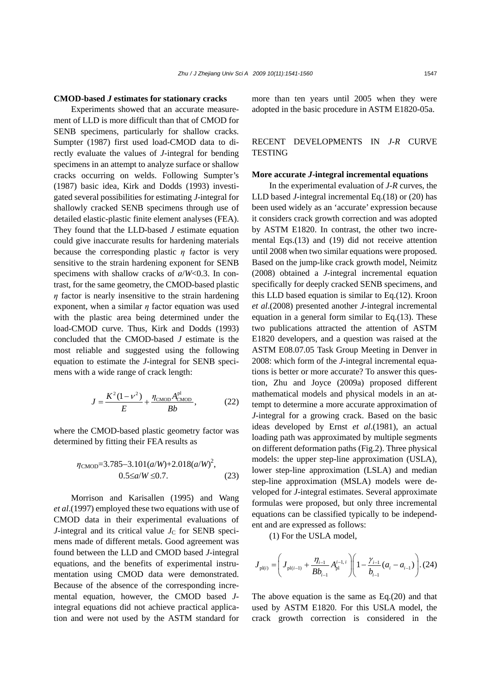Experiments showed that an accurate measurement of LLD is more difficult than that of CMOD for SENB specimens, particularly for shallow cracks. Sumpter (1987) first used load-CMOD data to directly evaluate the values of *J*-integral for bending specimens in an attempt to analyze surface or shallow cracks occurring on welds. Following Sumpter's (1987) basic idea, Kirk and Dodds (1993) investigated several possibilities for estimating *J*-integral for shallowly cracked SENB specimens through use of detailed elastic-plastic finite element analyses (FEA). They found that the LLD-based *J* estimate equation could give inaccurate results for hardening materials because the corresponding plastic *η* factor is very sensitive to the strain hardening exponent for SENB specimens with shallow cracks of *a*/*W*<0.3. In contrast, for the same geometry, the CMOD-based plastic *η* factor is nearly insensitive to the strain hardening exponent, when a similar *η* factor equation was used with the plastic area being determined under the load-CMOD curve. Thus, Kirk and Dodds (1993) concluded that the CMOD-based *J* estimate is the most reliable and suggested using the following equation to estimate the *J*-integral for SENB specimens with a wide range of crack length:

$$
J = \frac{K^2 (1 - v^2)}{E} + \frac{\eta_{\text{CMOD}} A_{\text{CMOD}}^{\text{pl}}}{B b},
$$
 (22)

where the CMOD-based plastic geometry factor was determined by fitting their FEA results as

$$
\eta_{\text{CMOD}} = 3.785 - 3.101 (a/W) + 2.018 (a/W)^2,
$$
  
0.5 \le a/W \le 0.7. (23)

Morrison and Karisallen (1995) and Wang *et al*.(1997) employed these two equations with use of CMOD data in their experimental evaluations of *J*-integral and its critical value  $J<sub>C</sub>$  for SENB specimens made of different metals. Good agreement was found between the LLD and CMOD based *J*-integral equations, and the benefits of experimental instrumentation using CMOD data were demonstrated. Because of the absence of the corresponding incremental equation, however, the CMOD based *J*integral equations did not achieve practical application and were not used by the ASTM standard for more than ten years until 2005 when they were adopted in the basic procedure in ASTM E1820-05a.

# RECENT DEVELOPMENTS IN *J*-*R* CURVE **TESTING**

#### **More accurate** *J***-integral incremental equations**

In the experimental evaluation of *J*-*R* curves, the LLD based *J*-integral incremental Eq.(18) or (20) has been used widely as an 'accurate' expression because it considers crack growth correction and was adopted by ASTM E1820. In contrast, the other two incremental Eqs.(13) and (19) did not receive attention until 2008 when two similar equations were proposed. Based on the jump-like crack growth model, Neimitz (2008) obtained a *J*-integral incremental equation specifically for deeply cracked SENB specimens, and this LLD based equation is similar to Eq.(12). Kroon *et al*.(2008) presented another *J*-integral incremental equation in a general form similar to Eq.(13). These two publications attracted the attention of ASTM E1820 developers, and a question was raised at the ASTM E08.07.05 Task Group Meeting in Denver in 2008: which form of the *J*-integral incremental equations is better or more accurate? To answer this question, Zhu and Joyce (2009a) proposed different mathematical models and physical models in an attempt to determine a more accurate approximation of *J*-integral for a growing crack. Based on the basic ideas developed by Ernst *et al*.(1981), an actual loading path was approximated by multiple segments on different deformation paths (Fig.2). Three physical models: the upper step-line approximation (USLA), lower step-line approximation (LSLA) and median step-line approximation (MSLA) models were developed for *J*-integral estimates. Several approximate formulas were proposed, but only three incremental equations can be classified typically to be independent and are expressed as follows:

(1) For the USLA model,

$$
J_{\mathrm{pl}(i)} = \left( J_{\mathrm{pl}(i-1)} + \frac{\eta_{i-1}}{B b_{i-1}} A_{\mathrm{pl}}^{i-1, i} \right) \left( 1 - \frac{\gamma_{i-1}}{b_{i-1}} (a_i - a_{i-1}) \right). (24)
$$

The above equation is the same as Eq.(20) and that used by ASTM E1820. For this USLA model, the crack growth correction is considered in the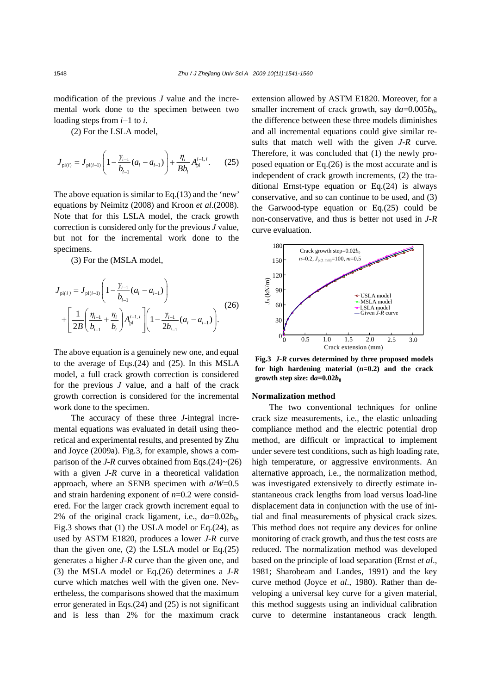modification of the previous *J* value and the incremental work done to the specimen between two loading steps from *i*−1 to *i*.

(2) For the LSLA model,

$$
J_{\mathrm{pl}(i)} = J_{\mathrm{pl}(i-1)} \left( 1 - \frac{\gamma_{i-1}}{b_{i-1}} (a_i - a_{i-1}) \right) + \frac{\eta_i}{Bb_i} A_{\mathrm{pl}}^{i-1,i}.
$$
 (25)

The above equation is similar to Eq.(13) and the 'new' equations by Neimitz (2008) and Kroon *et al*.(2008). Note that for this LSLA model, the crack growth correction is considered only for the previous *J* value, but not for the incremental work done to the specimens.

(3) For the (MSLA model,

$$
J_{\mathrm{pl}(i)} = J_{\mathrm{pl}(i-1)} \left( 1 - \frac{\gamma_{i-1}}{b_{i-1}} (a_i - a_{i-1}) \right)
$$
  
+ 
$$
\left[ \frac{1}{2B} \left( \frac{\eta_{i-1}}{b_{i-1}} + \frac{\eta_i}{b_i} \right) A_{\mathrm{pl}}^{i-1,i} \right] \left( 1 - \frac{\gamma_{i-1}}{2b_{i-1}} (a_i - a_{i-1}) \right).
$$
 (26)

The above equation is a genuinely new one, and equal to the average of Eqs.(24) and (25). In this MSLA model, a full crack growth correction is considered for the previous *J* value, and a half of the crack growth correction is considered for the incremental work done to the specimen.

The accuracy of these three *J*-integral incremental equations was evaluated in detail using theoretical and experimental results, and presented by Zhu and Joyce (2009a). Fig.3, for example, shows a comparison of the *J-R* curves obtained from Eqs.(24) $\sim$ (26) with a given *J*-*R* curve in a theoretical validation approach, where an SENB specimen with *a*/*W*=0.5 and strain hardening exponent of *n*=0.2 were considered. For the larger crack growth increment equal to 2% of the original crack ligament, i.e.,  $da=0.02b_0$ , Fig.3 shows that (1) the USLA model or Eq.(24), as used by ASTM E1820, produces a lower *J*-*R* curve than the given one, (2) the LSLA model or Eq.(25) generates a higher *J*-*R* curve than the given one, and (3) the MSLA model or Eq.(26) determines a *J*-*R* curve which matches well with the given one. Nevertheless, the comparisons showed that the maximum error generated in Eqs.(24) and (25) is not significant and is less than 2% for the maximum crack

extension allowed by ASTM E1820. Moreover, for a smaller increment of crack growth, say  $da=0.005b_0$ , the difference between these three models diminishes and all incremental equations could give similar results that match well with the given *J*-*R* curve. Therefore, it was concluded that (1) the newly proposed equation or Eq.(26) is the most accurate and is independent of crack growth increments, (2) the traditional Ernst-type equation or Eq.(24) is always conservative, and so can continue to be used, and (3) the Garwood-type equation or Eq.(25) could be non-conservative, and thus is better not used in *J*-*R* curve evaluation.



**Fig.3** *J***-***R* **curves determined by three proposed models**  for high hardening material  $(n=0.2)$  and the crack **growth step size:**  $da=0.02b_0$ 

# **Normalization method**

The two conventional techniques for online crack size measurements, i.e., the elastic unloading compliance method and the electric potential drop method, are difficult or impractical to implement under severe test conditions, such as high loading rate, high temperature, or aggressive environments. An alternative approach, i.e., the normalization method, was investigated extensively to directly estimate instantaneous crack lengths from load versus load-line displacement data in conjunction with the use of initial and final measurements of physical crack sizes. This method does not require any devices for online monitoring of crack growth, and thus the test costs are reduced. The normalization method was developed based on the principle of load separation (Ernst *et al*., 1981; Sharobeam and Landes, 1991) and the key curve method (Joyce *et al*., 1980). Rather than developing a universal key curve for a given material, this method suggests using an individual calibration curve to determine instantaneous crack length.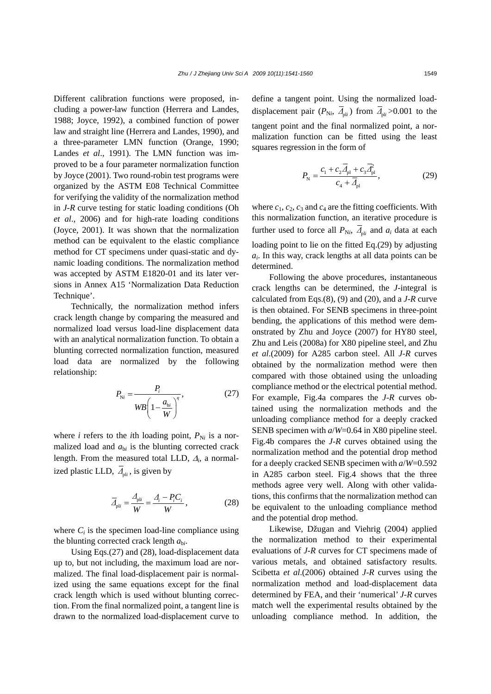Different calibration functions were proposed, including a power-law function (Herrera and Landes, 1988; Joyce, 1992), a combined function of power law and straight line (Herrera and Landes, 1990), and a three-parameter LMN function (Orange, 1990; Landes *et al*., 1991). The LMN function was improved to be a four parameter normalization function by Joyce (2001). Two round-robin test programs were organized by the ASTM E08 Technical Committee for verifying the validity of the normalization method in *J*-*R* curve testing for static loading conditions (Oh *et al*., 2006) and for high-rate loading conditions (Joyce, 2001). It was shown that the normalization method can be equivalent to the elastic compliance method for CT specimens under quasi-static and dynamic loading conditions. The normalization method was accepted by ASTM E1820-01 and its later versions in Annex A15 'Normalization Data Reduction Technique'.

Technically, the normalization method infers crack length change by comparing the measured and normalized load versus load-line displacement data with an analytical normalization function. To obtain a blunting corrected normalization function, measured load data are normalized by the following relationship:

$$
P_{\rm Ni} = \frac{P_i}{WB \left(1 - \frac{a_{\rm bi}}{W}\right)^n},\tag{27}
$$

where *i* refers to the *i*th loading point,  $P_{Ni}$  is a normalized load and  $a_{bi}$  is the blunting corrected crack length. From the measured total LLD, <sup>Δ</sup>*i*, a normalized plastic LLD,  $\overline{A}_{\text{pl}i}$ , is given by

$$
\overline{A}_{\text{pl}i} = \frac{\Delta_{\text{pl}i}}{W} = \frac{\Delta_i - P_i C_i}{W},
$$
\n(28)

where  $C_i$  is the specimen load-line compliance using the blunting corrected crack length *a*b*i*.

Using Eqs.(27) and (28), load-displacement data up to, but not including, the maximum load are normalized. The final load-displacement pair is normalized using the same equations except for the final crack length which is used without blunting correction. From the final normalized point, a tangent line is drawn to the normalized load-displacement curve to define a tangent point. Using the normalized loaddisplacement pair  $(P_{Ni}, \bar{A}_{\text{pl}})$  from  $\bar{A}_{\text{pl}} > 0.001$  to the tangent point and the final normalized point, a normalization function can be fitted using the least squares regression in the form of

$$
P_{\rm N} = \frac{c_1 + c_2 \overline{A}_{\rm pl} + c_3 \overline{A}_{\rm pl}^2}{c_4 + \overline{A}_{\rm pl}},\tag{29}
$$

where  $c_1$ ,  $c_2$ ,  $c_3$  and  $c_4$  are the fitting coefficients. With this normalization function, an iterative procedure is further used to force all  $P_{\text{Ni}}$ ,  $\overline{A}_{\text{N}i}$  and  $a_i$  data at each loading point to lie on the fitted Eq.(29) by adjusting *ai*. In this way, crack lengths at all data points can be determined.

Following the above procedures, instantaneous crack lengths can be determined, the *J*-integral is calculated from Eqs.(8), (9) and (20), and a *J*-*R* curve is then obtained. For SENB specimens in three-point bending, the applications of this method were demonstrated by Zhu and Joyce (2007) for HY80 steel, Zhu and Leis (2008a) for X80 pipeline steel, and Zhu *et al*.(2009) for A285 carbon steel. All *J*-*R* curves obtained by the normalization method were then compared with those obtained using the unloading compliance method or the electrical potential method. For example, Fig.4a compares the *J*-*R* curves obtained using the normalization methods and the unloading compliance method for a deeply cracked SENB specimen with *a*/*W*=0.64 in X80 pipeline steel. Fig.4b compares the *J*-*R* curves obtained using the normalization method and the potential drop method for a deeply cracked SENB specimen with *a*/*W*=0.592 in A285 carbon steel. Fig.4 shows that the three methods agree very well. Along with other validations, this confirms that the normalization method can be equivalent to the unloading compliance method and the potential drop method.

Likewise, Džugan and Viehrig (2004) applied the normalization method to their experimental evaluations of *J*-*R* curves for CT specimens made of various metals, and obtained satisfactory results. Scibetta *et al*.(2006) obtained *J*-*R* curves using the normalization method and load-displacement data determined by FEA, and their 'numerical' *J*-*R* curves match well the experimental results obtained by the unloading compliance method. In addition, the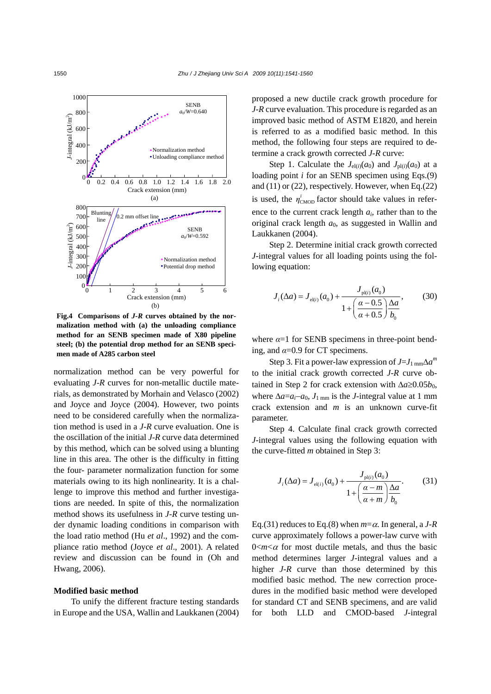

**Fig.4 Comparisons of** *J-R* **curves obtained by the normalization method with (a) the unloading compliance method for an SENB specimen made of X80 pipeline steel; (b) the potential drop method for an SENB specimen made of A285 carbon steel**

normalization method can be very powerful for evaluating *J*-*R* curves for non-metallic ductile materials, as demonstrated by Morhain and Velasco (2002) and Joyce and Joyce (2004). However, two points need to be considered carefully when the normalization method is used in a *J*-*R* curve evaluation. One is the oscillation of the initial *J*-*R* curve data determined by this method, which can be solved using a blunting line in this area. The other is the difficulty in fitting the four- parameter normalization function for some materials owing to its high nonlinearity. It is a challenge to improve this method and further investigations are needed. In spite of this, the normalization method shows its usefulness in *J*-*R* curve testing under dynamic loading conditions in comparison with the load ratio method (Hu *et al*., 1992) and the compliance ratio method (Joyce *et al*., 2001). A related review and discussion can be found in (Oh and Hwang, 2006).

## **Modified basic method**

To unify the different fracture testing standards in Europe and the USA, Wallin and Laukkanen (2004) proposed a new ductile crack growth procedure for *J*-*R* curve evaluation. This procedure is regarded as an improved basic method of ASTM E1820, and herein is referred to as a modified basic method. In this method, the following four steps are required to determine a crack growth corrected *J*-*R* curve:

Step 1. Calculate the  $J_{el(i)}(a_0)$  and  $J_{pl(i)}(a_0)$  at a loading point *i* for an SENB specimen using Eqs.(9) and (11) or (22), respectively. However, when Eq.(22) is used, the  $\eta_{\text{CMOD}}^i$  factor should take values in reference to the current crack length *ai*, rather than to the original crack length  $a_0$ , as suggested in Wallin and Laukkanen (2004).

Step 2. Determine initial crack growth corrected *J*-integral values for all loading points using the following equation:

$$
J_i(\Delta a) = J_{\text{el}(i)}(a_0) + \frac{J_{\text{pl}(i)}(a_0)}{1 + \left(\frac{\alpha - 0.5}{\alpha + 0.5}\right)\frac{\Delta a}{b_0}},\tag{30}
$$

where  $\alpha = 1$  for SENB specimens in three-point bending, and  $\alpha$ =0.9 for CT specimens.

Step 3. Fit a power-law expression of  $J = J_1$  mm $\Delta a^m$ to the initial crack growth corrected *J*-*R* curve obtained in Step 2 for crack extension with  $\Delta a \geq 0.05b_0$ , where  $\Delta a = a_i - a_0$ ,  $J_1$ <sub>mm</sub> is the *J*-integral value at 1 mm crack extension and *m* is an unknown curve-fit parameter.

Step 4. Calculate final crack growth corrected *J*-integral values using the following equation with the curve-fitted *m* obtained in Step 3:

$$
J_i(\Delta a) = J_{\text{el}(i)}(a_0) + \frac{J_{\text{pl}(i)}(a_0)}{1 + \left(\frac{\alpha - m}{\alpha + m}\right)\frac{\Delta a}{b_0}}.
$$
 (31)

Eq.(31) reduces to Eq.(8) when  $m=\alpha$ . In general, a *J-R* curve approximately follows a power-law curve with  $0 \le m \le \alpha$  for most ductile metals, and thus the basic method determines larger *J*-integral values and a higher *J*-*R* curve than those determined by this modified basic method. The new correction procedures in the modified basic method were developed for standard CT and SENB specimens, and are valid for both LLD and CMOD-based *J*-integral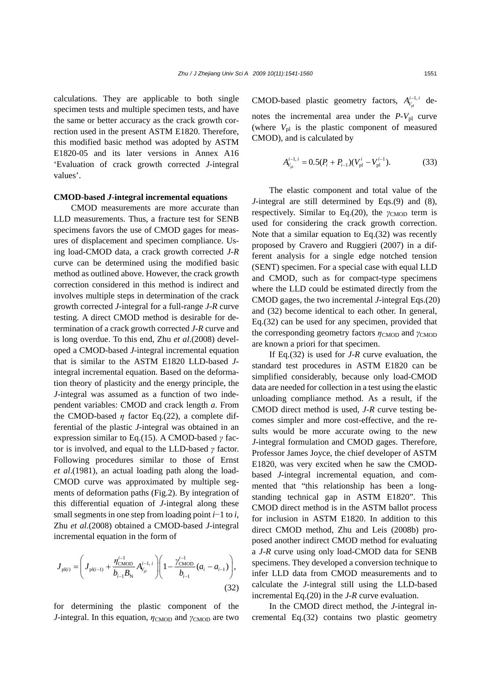calculations. They are applicable to both single specimen tests and multiple specimen tests, and have the same or better accuracy as the crack growth correction used in the present ASTM E1820. Therefore, this modified basic method was adopted by ASTM E1820-05 and its later versions in Annex A16 'Evaluation of crack growth corrected *J*-integral values'.

## **CMOD-based** *J***-integral incremental equations**

CMOD measurements are more accurate than LLD measurements. Thus, a fracture test for SENB specimens favors the use of CMOD gages for measures of displacement and specimen compliance. Using load-CMOD data, a crack growth corrected *J*-*R* curve can be determined using the modified basic method as outlined above. However, the crack growth correction considered in this method is indirect and involves multiple steps in determination of the crack growth corrected *J*-integral for a full-range *J*-*R* curve testing. A direct CMOD method is desirable for determination of a crack growth corrected *J*-*R* curve and is long overdue. To this end, Zhu *et al*.(2008) developed a CMOD-based *J*-integral incremental equation that is similar to the ASTM E1820 LLD-based *J*integral incremental equation. Based on the deformation theory of plasticity and the energy principle, the *J*-integral was assumed as a function of two independent variables: CMOD and crack length *a*. From the CMOD-based  $\eta$  factor Eq.(22), a complete differential of the plastic *J*-integral was obtained in an expression similar to Eq.(15). A CMOD-based *γ* factor is involved, and equal to the LLD-based *γ* factor. Following procedures similar to those of Ernst *et al*.(1981), an actual loading path along the load-CMOD curve was approximated by multiple segments of deformation paths (Fig.2). By integration of this differential equation of *J*-integral along these small segments in one step from loading point *i*−1 to *i*, Zhu *et al*.(2008) obtained a CMOD-based *J*-integral incremental equation in the form of

$$
J_{\mathrm{pl}(i)} = \left( J_{\mathrm{pl}(i-1)} + \frac{\eta_{\mathrm{CMD}}^{i-1}}{b_{i-1}B_{\mathrm{N}}} A_{V_{\mathrm{pl}}}^{i-1, i} \right) \left( 1 - \frac{\gamma_{\mathrm{CMD}}^{i-1}}{b_{i-1}} (a_i - a_{i-1}) \right),\tag{32}
$$

for determining the plastic component of the *J*-integral. In this equation,  $η_{CMOD}$  and  $γ_{CMOD}$  are two

CMOD-based plastic geometry factors,  $A_{V_{\text{pl}}}^{i-1,i}$  denotes the incremental area under the  $P-V_{\text{pl}}$  curve (where  $V_{\text{pl}}$  is the plastic component of measured CMOD), and is calculated by

$$
A_{V_{\text{pl}}}^{i-1,i} = 0.5(P_i + P_{i-1})(V_{\text{pl}}^i - V_{\text{pl}}^{i-1}).
$$
 (33)

The elastic component and total value of the *J*-integral are still determined by Eqs.(9) and (8), respectively. Similar to Eq.(20), the  $\gamma_{\text{CMOD}}$  term is used for considering the crack growth correction. Note that a similar equation to Eq.(32) was recently proposed by Cravero and Ruggieri (2007) in a different analysis for a single edge notched tension (SENT) specimen. For a special case with equal LLD and CMOD, such as for compact-type specimens where the LLD could be estimated directly from the CMOD gages, the two incremental *J*-integral Eqs.(20) and (32) become identical to each other. In general, Eq.(32) can be used for any specimen, provided that the corresponding geometry factors  $η_{\text{CMOD}}$  and  $γ_{\text{CMOD}}$ are known a priori for that specimen.

If Eq.(32) is used for *J*-*R* curve evaluation, the standard test procedures in ASTM E1820 can be simplified considerably, because only load-CMOD data are needed for collection in a test using the elastic unloading compliance method. As a result, if the CMOD direct method is used, *J*-*R* curve testing becomes simpler and more cost-effective, and the results would be more accurate owing to the new *J*-integral formulation and CMOD gages. Therefore, Professor James Joyce, the chief developer of ASTM E1820, was very excited when he saw the CMODbased *J*-integral incremental equation, and commented that "this relationship has been a longstanding technical gap in ASTM E1820". This CMOD direct method is in the ASTM ballot process for inclusion in ASTM E1820. In addition to this direct CMOD method, Zhu and Leis (2008b) proposed another indirect CMOD method for evaluating a *J*-*R* curve using only load-CMOD data for SENB specimens. They developed a conversion technique to infer LLD data from CMOD measurements and to calculate the *J*-integral still using the LLD-based incremental Eq.(20) in the *J*-*R* curve evaluation.

In the CMOD direct method, the *J*-integral incremental Eq.(32) contains two plastic geometry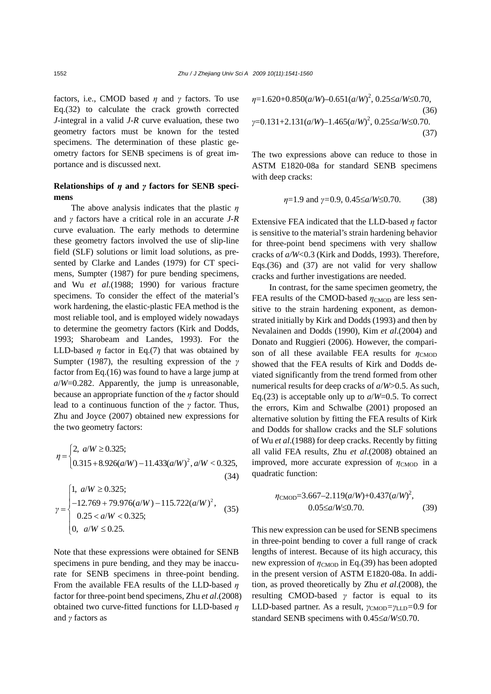factors, i.e., CMOD based *η* and *γ* factors. To use Eq.(32) to calculate the crack growth corrected *J*-integral in a valid *J*-*R* curve evaluation, these two geometry factors must be known for the tested specimens. The determination of these plastic geometry factors for SENB specimens is of great importance and is discussed next.

# **Relationships of** *η* **and** *γ* **factors for SENB specimens**

The above analysis indicates that the plastic *η* and *γ* factors have a critical role in an accurate *J*-*R* curve evaluation. The early methods to determine these geometry factors involved the use of slip-line field (SLF) solutions or limit load solutions, as presented by Clarke and Landes (1979) for CT specimens, Sumpter (1987) for pure bending specimens, and Wu *et al*.(1988; 1990) for various fracture specimens. To consider the effect of the material's work hardening, the elastic-plastic FEA method is the most reliable tool, and is employed widely nowadays to determine the geometry factors (Kirk and Dodds, 1993; Sharobeam and Landes, 1993). For the LLD-based  $\eta$  factor in Eq.(7) that was obtained by Sumpter (1987), the resulting expression of the *γ* factor from Eq.(16) was found to have a large jump at *a*/*W*=0.282. Apparently, the jump is unreasonable, because an appropriate function of the *η* factor should lead to a continuous function of the *γ* factor. Thus, Zhu and Joyce (2007) obtained new expressions for the two geometry factors:

$$
\eta = \begin{cases} 2, \ a/W \ge 0.325; \\ 0.315 + 8.926(a/W) - 11.433(a/W)^2, \ a/W < 0.325, \\ 0.315 + 8.926(a/W) - 11.433(a/W)^2, \ a/W < 0.325, \\ -12.769 + 79.976(a/W) - 115.722(a/W)^2, \\ 0.25 < a/W < 0.325; \\ 0, \ a/W \le 0.25. \end{cases} \tag{35}
$$

Note that these expressions were obtained for SENB specimens in pure bending, and they may be inaccurate for SENB specimens in three-point bending. From the available FEA results of the LLD-based *η* factor for three-point bend specimens, Zhu *et al*.(2008) obtained two curve-fitted functions for LLD-based *η* and *γ* factors as

$$
\eta=1.620+0.850(a/W)-0.651(a/W)^{2}, 0.25\le a/W\le 0.70,
$$
\n
$$
\gamma=0.131+2.131(a/W)-1.465(a/W)^{2}, 0.25\le a/W\le 0.70.
$$
\n(36)

The two expressions above can reduce to those in ASTM E1820-08a for standard SENB specimens with deep cracks:

$$
\eta
$$
=1.9 and  $\gamma$ =0.9, 0.45 $\leq a/W \leq 0.70$ . (38)

(37)

Extensive FEA indicated that the LLD-based *η* factor is sensitive to the material's strain hardening behavior for three-point bend specimens with very shallow cracks of *a/W*<0.3 (Kirk and Dodds, 1993). Therefore, Eqs.(36) and (37) are not valid for very shallow cracks and further investigations are needed.

In contrast, for the same specimen geometry, the FEA results of the CMOD-based  $\eta_{\rm CMOD}$  are less sensitive to the strain hardening exponent, as demonstrated initially by Kirk and Dodds (1993) and then by Nevalainen and Dodds (1990), Kim *et al*.(2004) and Donato and Ruggieri (2006). However, the comparison of all these available FEA results for  $\eta_{\text{CMOD}}$ showed that the FEA results of Kirk and Dodds deviated significantly from the trend formed from other numerical results for deep cracks of *a*/*W*>0.5. As such, Eq.(23) is acceptable only up to *a*/*W*=0.5. To correct the errors, Kim and Schwalbe (2001) proposed an alternative solution by fitting the FEA results of Kirk and Dodds for shallow cracks and the SLF solutions of Wu *et al*.(1988) for deep cracks. Recently by fitting all valid FEA results, Zhu *et al*.(2008) obtained an improved, more accurate expression of  $\eta_{\text{CMOD}}$  in a quadratic function:

$$
\eta_{\text{CMOD}} = 3.667 - 2.119(a/W) + 0.437(a/W)^2,
$$
  
0.05 \le a/W \le 0.70. (39)

This new expression can be used for SENB specimens in three-point bending to cover a full range of crack lengths of interest. Because of its high accuracy, this new expression of  $\eta_{\text{CMOD}}$  in Eq.(39) has been adopted in the present version of ASTM E1820-08a. In addition, as proved theoretically by Zhu *et al*.(2008), the resulting CMOD-based *γ* factor is equal to its LLD-based partner. As a result,  $γ_{\text{CMOD}}=γ_{\text{LLD}}=0.9$  for standard SENB specimens with 0.45≤*a*/*W*≤0.70.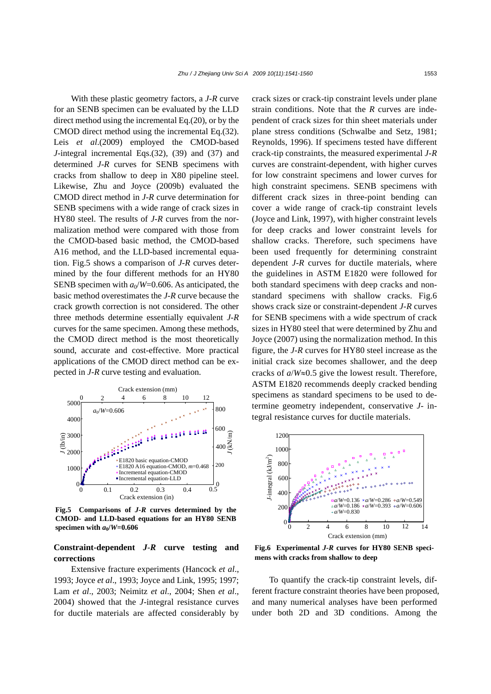With these plastic geometry factors, a *J*-*R* curve for an SENB specimen can be evaluated by the LLD direct method using the incremental Eq.(20), or by the CMOD direct method using the incremental Eq.(32). Leis *et al*.(2009) employed the CMOD-based *J*-integral incremental Eqs.(32), (39) and (37) and determined *J*-*R* curves for SENB specimens with cracks from shallow to deep in X80 pipeline steel. Likewise, Zhu and Joyce (2009b) evaluated the CMOD direct method in *J*-*R* curve determination for SENB specimens with a wide range of crack sizes in HY80 steel. The results of *J*-*R* curves from the normalization method were compared with those from the CMOD-based basic method, the CMOD-based A16 method, and the LLD-based incremental equation. Fig.5 shows a comparison of *J*-*R* curves determined by the four different methods for an HY80 SENB specimen with  $a_0/W=0.606$ . As anticipated, the basic method overestimates the *J*-*R* curve because the crack growth correction is not considered. The other three methods determine essentially equivalent *J*-*R* curves for the same specimen. Among these methods, the CMOD direct method is the most theoretically sound, accurate and cost-effective. More practical applications of the CMOD direct method can be expected in *J*-*R* curve testing and evaluation.



**Fig.5 Comparisons of** *J-R* **curves determined by the CMOD- and LLD-based equations for an HY80 SENB** specimen with  $a_0/W=0.606$ 

# **Constraint-dependent** *J*-*R* **curve testing and corrections**

Extensive fracture experiments (Hancock *et al*., 1993; Joyce *et al*., 1993; Joyce and Link, 1995; 1997; Lam *et al*., 2003; Neimitz *et al*., 2004; Shen *et al*., 2004) showed that the *J*-integral resistance curves for ductile materials are affected considerably by

crack sizes or crack-tip constraint levels under plane strain conditions. Note that the *R* curves are independent of crack sizes for thin sheet materials under plane stress conditions (Schwalbe and Setz, 1981; Reynolds, 1996). If specimens tested have different crack-tip constraints, the measured experimental *J*-*R* curves are constraint-dependent, with higher curves for low constraint specimens and lower curves for high constraint specimens. SENB specimens with different crack sizes in three-point bending can cover a wide range of crack-tip constraint levels (Joyce and Link, 1997), with higher constraint levels for deep cracks and lower constraint levels for shallow cracks. Therefore, such specimens have been used frequently for determining constraint dependent *J*-*R* curves for ductile materials, where the guidelines in ASTM E1820 were followed for both standard specimens with deep cracks and nonstandard specimens with shallow cracks. Fig.6 shows crack size or constraint-dependent *J*-*R* curves for SENB specimens with a wide spectrum of crack sizes in HY80 steel that were determined by Zhu and Joyce (2007) using the normalization method. In this figure, the *J*-*R* curves for HY80 steel increase as the initial crack size becomes shallower, and the deep cracks of *a*/*W*≈0.5 give the lowest result. Therefore, ASTM E1820 recommends deeply cracked bending specimens as standard specimens to be used to determine geometry independent, conservative *J*- integral resistance curves for ductile materials.



**Fig.6 Experimental** *J-R* **curves for HY80 SENB specimens with cracks from shallow to deep**

To quantify the crack-tip constraint levels, different fracture constraint theories have been proposed, and many numerical analyses have been performed under both 2D and 3D conditions. Among the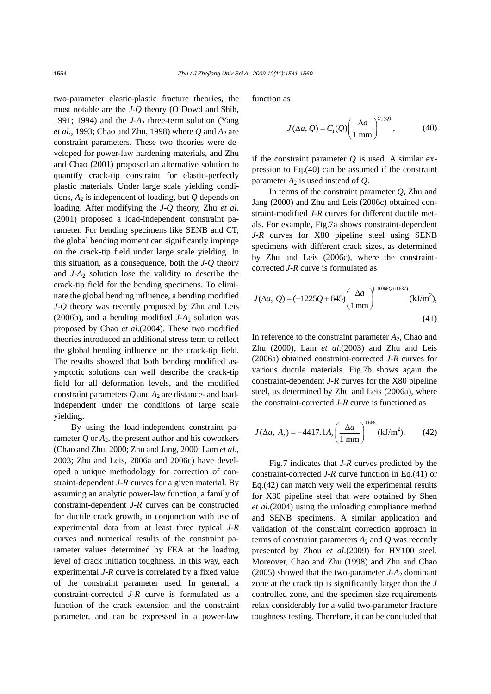two-parameter elastic-plastic fracture theories, the most notable are the *J*-*Q* theory (O'Dowd and Shih, 1991; 1994) and the *J*-*A*2 three-term solution (Yang *et al.*, 1993; Chao and Zhu, 1998) where  $O$  and  $A_2$  are constraint parameters. These two theories were developed for power-law hardening materials, and Zhu and Chao (2001) proposed an alternative solution to quantify crack-tip constraint for elastic-perfectly plastic materials. Under large scale yielding conditions,  $A_2$  is independent of loading, but  $Q$  depends on loading. After modifying the *J*-*Q* theory, Zhu *et al*. (2001) proposed a load-independent constraint parameter. For bending specimens like SENB and CT, the global bending moment can significantly impinge on the crack-tip field under large scale yielding. In this situation, as a consequence, both the *J*-*Q* theory and  $J-A_2$  solution lose the validity to describe the crack-tip field for the bending specimens. To eliminate the global bending influence, a bending modified *J*-*Q* theory was recently proposed by Zhu and Leis (2006b), and a bending modified  $J-A_2$  solution was proposed by Chao *et al*.(2004). These two modified theories introduced an additional stress term to reflect the global bending influence on the crack-tip field. The results showed that both bending modified asymptotic solutions can well describe the crack-tip field for all deformation levels, and the modified constraint parameters  $Q$  and  $A_2$  are distance- and loadindependent under the conditions of large scale yielding.

By using the load-independent constraint parameter  $Q$  or  $A_2$ , the present author and his coworkers (Chao and Zhu, 2000; Zhu and Jang, 2000; Lam *et al*., 2003; Zhu and Leis, 2006a and 2006c) have developed a unique methodology for correction of constraint-dependent *J*-*R* curves for a given material. By assuming an analytic power-law function, a family of constraint-dependent *J*-*R* curves can be constructed for ductile crack growth, in conjunction with use of experimental data from at least three typical *J*-*R* curves and numerical results of the constraint parameter values determined by FEA at the loading level of crack initiation toughness. In this way, each experimental *J*-*R* curve is correlated by a fixed value of the constraint parameter used. In general, a constraint-corrected *J*-*R* curve is formulated as a function of the crack extension and the constraint parameter, and can be expressed in a power-law

function as

$$
J(\Delta a, Q) = C_1(Q) \left(\frac{\Delta a}{1 \text{ mm}}\right)^{C_2(Q)}, \tag{40}
$$

if the constraint parameter  $O$  is used. A similar expression to Eq.(40) can be assumed if the constraint parameter  $A_2$  is used instead of  $Q$ .

In terms of the constraint parameter *Q*, Zhu and Jang (2000) and Zhu and Leis (2006c) obtained constraint-modified *J*-*R* curves for different ductile metals. For example, Fig.7a shows constraint-dependent *J*-*R* curves for X80 pipeline steel using SENB specimens with different crack sizes, as determined by Zhu and Leis (2006c), where the constraintcorrected *J*-*R* curve is formulated as

$$
J(\Delta a, Q) = (-1225Q + 645) \left(\frac{\Delta a}{1 \text{ mm}}\right)^{(-0.066Q + 0.637)} (\text{kJ/m}^2),
$$
\n(41)

In reference to the constraint parameter  $A_2$ , Chao and Zhu (2000), Lam *et al*.(2003) and Zhu and Leis (2006a) obtained constraint-corrected *J*-*R* curves for various ductile materials. Fig.7b shows again the constraint-dependent *J*-*R* curves for the X80 pipeline steel, as determined by Zhu and Leis (2006a), where the constraint-corrected *J*-*R* curve is functioned as

$$
J(\Delta a, A_2) = -4417.1A_2 \left(\frac{\Delta a}{1 \text{ mm}}\right)^{0.668} (\text{kJ/m}^2).
$$
 (42)

Fig.7 indicates that *J*-*R* curves predicted by the constraint-corrected *J*-*R* curve function in Eq.(41) or Eq.(42) can match very well the experimental results for X80 pipeline steel that were obtained by Shen *et al*.(2004) using the unloading compliance method and SENB specimens. A similar application and validation of the constraint correction approach in terms of constraint parameters  $A_2$  and  $Q$  was recently presented by Zhou *et al*.(2009) for HY100 steel. Moreover, Chao and Zhu (1998) and Zhu and Chao (2005) showed that the two-parameter *J*-*A2* dominant zone at the crack tip is significantly larger than the *J*  controlled zone, and the specimen size requirements relax considerably for a valid two-parameter fracture toughness testing. Therefore, it can be concluded that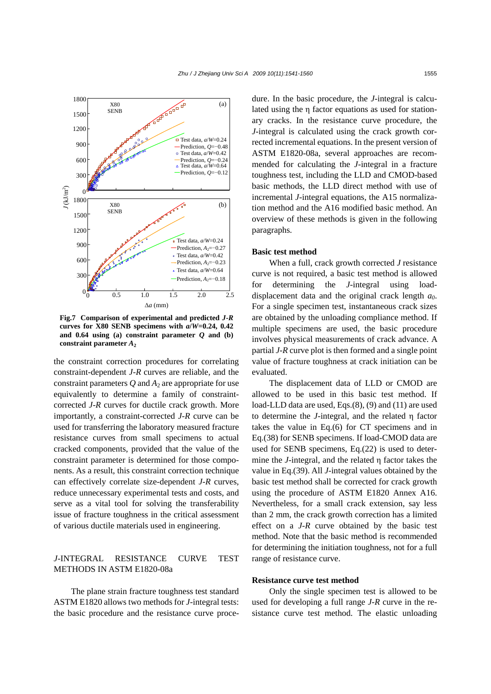

**Fig.7 Comparison of experimental and predicted** *J***-***R* **curves for X80 SENB specimens with** *a***/***W***=0.24, 0.42 and 0.64 using (a) constraint parameter** *Q* **and (b) constraint parameter** *A***<sup>2</sup>**

the constraint correction procedures for correlating constraint-dependent *J*-*R* curves are reliable, and the constraint parameters  $Q$  and  $A_2$  are appropriate for use equivalently to determine a family of constraintcorrected *J*-*R* curves for ductile crack growth. More importantly, a constraint-corrected *J*-*R* curve can be used for transferring the laboratory measured fracture resistance curves from small specimens to actual cracked components, provided that the value of the constraint parameter is determined for those components. As a result, this constraint correction technique can effectively correlate size-dependent *J*-*R* curves, reduce unnecessary experimental tests and costs, and serve as a vital tool for solving the transferability issue of fracture toughness in the critical assessment of various ductile materials used in engineering.

# *J*-INTEGRAL RESISTANCE CURVE TEST METHODS IN ASTM E1820-08a

The plane strain fracture toughness test standard ASTM E1820 allows two methods for *J*-integral tests: the basic procedure and the resistance curve procedure. In the basic procedure, the *J*-integral is calculated using the η factor equations as used for stationary cracks. In the resistance curve procedure, the *J*-integral is calculated using the crack growth corrected incremental equations. In the present version of ASTM E1820-08a, several approaches are recommended for calculating the *J*-integral in a fracture toughness test, including the LLD and CMOD-based basic methods, the LLD direct method with use of incremental *J*-integral equations, the A15 normalization method and the A16 modified basic method. An overview of these methods is given in the following paragraphs.

#### **Basic test method**

When a full, crack growth corrected *J* resistance curve is not required, a basic test method is allowed for determining the *J*-integral using loaddisplacement data and the original crack length *a0*. For a single specimen test, instantaneous crack sizes are obtained by the unloading compliance method. If multiple specimens are used, the basic procedure involves physical measurements of crack advance. A partial *J*-*R* curve plot is then formed and a single point value of fracture toughness at crack initiation can be evaluated.

The displacement data of LLD or CMOD are allowed to be used in this basic test method. If load-LLD data are used, Eqs.(8), (9) and (11) are used to determine the *J*-integral, and the related η factor takes the value in Eq.(6) for CT specimens and in Eq.(38) for SENB specimens. If load-CMOD data are used for SENB specimens, Eq.(22) is used to determine the *J*-integral, and the related η factor takes the value in Eq.(39). All *J*-integral values obtained by the basic test method shall be corrected for crack growth using the procedure of ASTM E1820 Annex A16. Nevertheless, for a small crack extension, say less than 2 mm, the crack growth correction has a limited effect on a *J*-*R* curve obtained by the basic test method. Note that the basic method is recommended for determining the initiation toughness, not for a full range of resistance curve.

#### **Resistance curve test method**

Only the single specimen test is allowed to be used for developing a full range *J*-*R* curve in the resistance curve test method. The elastic unloading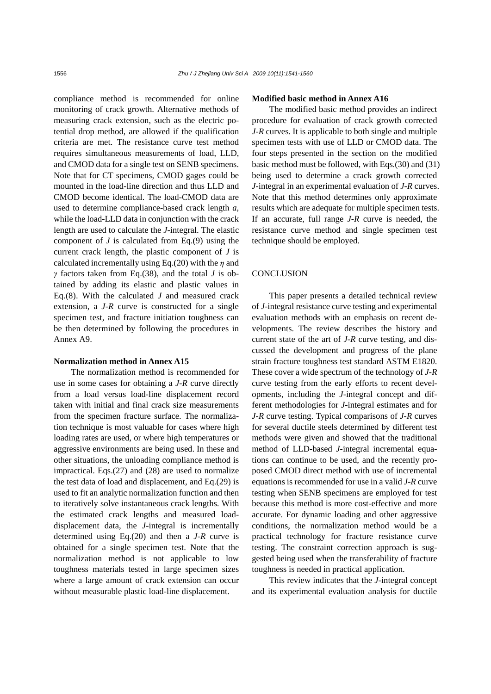compliance method is recommended for online monitoring of crack growth. Alternative methods of measuring crack extension, such as the electric potential drop method, are allowed if the qualification criteria are met. The resistance curve test method requires simultaneous measurements of load, LLD, and CMOD data for a single test on SENB specimens. Note that for CT specimens, CMOD gages could be mounted in the load-line direction and thus LLD and CMOD become identical. The load-CMOD data are used to determine compliance-based crack length *a*, while the load-LLD data in conjunction with the crack length are used to calculate the *J*-integral. The elastic component of *J* is calculated from Eq.(9) using the current crack length, the plastic component of *J* is calculated incrementally using Eq.(20) with the *η* and *γ* factors taken from Eq.(38), and the total *J* is obtained by adding its elastic and plastic values in Eq.(8). With the calculated *J* and measured crack extension, a *J*-*R* curve is constructed for a single specimen test, and fracture initiation toughness can be then determined by following the procedures in Annex A9.

#### **Normalization method in Annex A15**

The normalization method is recommended for use in some cases for obtaining a *J*-*R* curve directly from a load versus load-line displacement record taken with initial and final crack size measurements from the specimen fracture surface. The normalization technique is most valuable for cases where high loading rates are used, or where high temperatures or aggressive environments are being used. In these and other situations, the unloading compliance method is impractical. Eqs.(27) and (28) are used to normalize the test data of load and displacement, and Eq.(29) is used to fit an analytic normalization function and then to iteratively solve instantaneous crack lengths. With the estimated crack lengths and measured loaddisplacement data, the *J*-integral is incrementally determined using Eq.(20) and then a *J*-*R* curve is obtained for a single specimen test. Note that the normalization method is not applicable to low toughness materials tested in large specimen sizes where a large amount of crack extension can occur without measurable plastic load-line displacement.

## **Modified basic method in Annex A16**

The modified basic method provides an indirect procedure for evaluation of crack growth corrected *J*-*R* curves. It is applicable to both single and multiple specimen tests with use of LLD or CMOD data. The four steps presented in the section on the modified basic method must be followed, with Eqs.(30) and (31) being used to determine a crack growth corrected *J*-integral in an experimental evaluation of *J*-*R* curves. Note that this method determines only approximate results which are adequate for multiple specimen tests. If an accurate, full range *J*-*R* curve is needed, the resistance curve method and single specimen test technique should be employed.

## **CONCLUSION**

This paper presents a detailed technical review of *J*-integral resistance curve testing and experimental evaluation methods with an emphasis on recent developments. The review describes the history and current state of the art of *J*-*R* curve testing, and discussed the development and progress of the plane strain fracture toughness test standard ASTM E1820. These cover a wide spectrum of the technology of *J*-*R* curve testing from the early efforts to recent developments, including the *J*-integral concept and different methodologies for *J*-integral estimates and for *J*-*R* curve testing. Typical comparisons of *J*-*R* curves for several ductile steels determined by different test methods were given and showed that the traditional method of LLD-based *J*-integral incremental equations can continue to be used, and the recently proposed CMOD direct method with use of incremental equations is recommended for use in a valid *J*-*R* curve testing when SENB specimens are employed for test because this method is more cost-effective and more accurate. For dynamic loading and other aggressive conditions, the normalization method would be a practical technology for fracture resistance curve testing. The constraint correction approach is suggested being used when the transferability of fracture toughness is needed in practical application.

This review indicates that the *J*-integral concept and its experimental evaluation analysis for ductile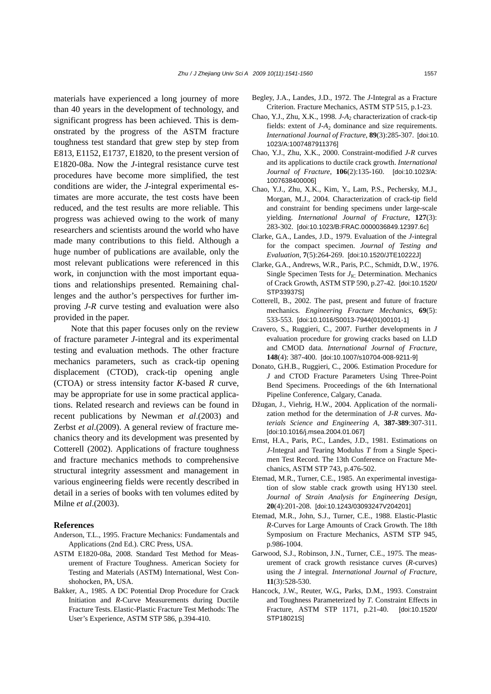materials have experienced a long journey of more than 40 years in the development of technology, and significant progress has been achieved. This is demonstrated by the progress of the ASTM fracture toughness test standard that grew step by step from E813, E1152, E1737, E1820, to the present version of E1820-08a. Now the *J*-integral resistance curve test procedures have become more simplified, the test conditions are wider, the *J*-integral experimental estimates are more accurate, the test costs have been reduced, and the test results are more reliable. This progress was achieved owing to the work of many researchers and scientists around the world who have made many contributions to this field. Although a huge number of publications are available, only the most relevant publications were referenced in this work, in conjunction with the most important equations and relationships presented. Remaining challenges and the author's perspectives for further improving *J*-*R* curve testing and evaluation were also provided in the paper.

Note that this paper focuses only on the review of fracture parameter *J*-integral and its experimental testing and evaluation methods. The other fracture mechanics parameters, such as crack-tip opening displacement (CTOD), crack-tip opening angle (CTOA) or stress intensity factor *K*-based *R* curve, may be appropriate for use in some practical applications. Related research and reviews can be found in recent publications by Newman *et al*.(2003) and Zerbst *et al*.(2009). A general review of fracture mechanics theory and its development was presented by Cotterell (2002). Applications of fracture toughness and fracture mechanics methods to comprehensive structural integrity assessment and management in various engineering fields were recently described in detail in a series of books with ten volumes edited by Milne *et al*.(2003).

#### **References**

- Anderson, T.L., 1995. Fracture Mechanics: Fundamentals and Applications (2nd Ed.). CRC Press, USA.
- ASTM E1820-08a, 2008. Standard Test Method for Measurement of Fracture Toughness. American Society for Testing and Materials (ASTM) International, West Conshohocken, PA, USA.
- Bakker, A., 1985. A DC Potential Drop Procedure for Crack Initiation and *R*-Curve Measurements during Ductile Fracture Tests. Elastic-Plastic Fracture Test Methods: The User's Experience, ASTM STP 586, p.394-410.
- Begley, J.A., Landes, J.D., 1972. The *J*-Integral as a Fracture Criterion. Fracture Mechanics, ASTM STP 515, p.1-23.
- Chao, Y.J., Zhu, X.K., 1998. *J-A*<sub>2</sub> characterization of crack-tip fields: extent of  $J-A_2$  dominance and size requirements. *International Journal of Fracture*, **89**(3):285-307. [doi:10. 1023/A:1007487911376]
- Chao, Y.J., Zhu, X.K., 2000. Constraint-modified *J*-*R* curves and its applications to ductile crack growth. *International Journal of Fracture*, **106**(2):135-160. [doi:10.1023/A: 1007638400006]
- Chao, Y.J., Zhu, X.K., Kim, Y., Lam, P.S., Pechersky, M.J., Morgan, M.J., 2004. Characterization of crack-tip field and constraint for bending specimens under large-scale yielding. *International Journal of Fracture*, **127**(3): 283-302. [doi:10.1023/B:FRAC.0000036849.12397.6c]
- Clarke, G.A., Landes, J.D., 1979. Evaluation of the *J*-integral for the compact specimen. *Journal of Testing and Evaluation*, **7**(5):264-269. [doi:10.1520/JTE10222J]
- Clarke, G.A., Andrews, W.R., Paris, P.C., Schmidt, D.W., 1976. Single Specimen Tests for  $J_{\text{IC}}$  Determination. Mechanics of Crack Growth, ASTM STP 590, p.27-42. [doi:10.1520/ STP33937S]
- Cotterell, B., 2002. The past, present and future of fracture mechanics. *Engineering Fracture Mechanics*, **69**(5): 533-553. [doi:10.1016/S0013-7944(01)00101-1]
- Cravero, S., Ruggieri, C., 2007. Further developments in *J* evaluation procedure for growing cracks based on LLD and CMOD data. *International Journal of Fracture*, **148**(4): 387-400. [doi:10.1007/s10704-008-9211-9]
- Donato, G.H.B., Ruggieri, C., 2006. Estimation Procedure for *J* and CTOD Fracture Parameters Using Three-Point Bend Specimens. Proceedings of the 6th International Pipeline Conference, Calgary, Canada.
- Džugan, J., Viehrig, H.W., 2004. Application of the normalization method for the determination of *J*-*R* curves. *Materials Science and Engineering A*, **387-389**:307-311. [doi:10.1016/j.msea.2004.01.067]
- Ernst, H.A., Paris, P.C., Landes, J.D., 1981. Estimations on *J*-Integral and Tearing Modulus *T* from a Single Specimen Test Record. The 13th Conference on Fracture Mechanics, ASTM STP 743, p.476-502.
- Etemad, M.R., Turner, C.E., 1985. An experimental investigation of slow stable crack growth using HY130 steel. *Journal of Strain Analysis for Engineering Design*, **20**(4):201-208. [doi:10.1243/03093247V204201]
- Etemad, M.R., John, S.J., Turner, C.E., 1988. Elastic-Plastic *R*-Curves for Large Amounts of Crack Growth. The 18th Symposium on Fracture Mechanics, ASTM STP 945, p.986-1004.
- Garwood, S.J., Robinson, J.N., Turner, C.E., 1975. The measurement of crack growth resistance curves (*R*-curves) using the *J* integral. *International Journal of Fracture*, **11**(3):528-530.
- Hancock, J.W., Reuter, W.G., Parks, D.M., 1993. Constraint and Toughness Parameterized by *T*. Constraint Effects in Fracture, ASTM STP 1171, p.21-40. [doi:10.1520/ STP18021S]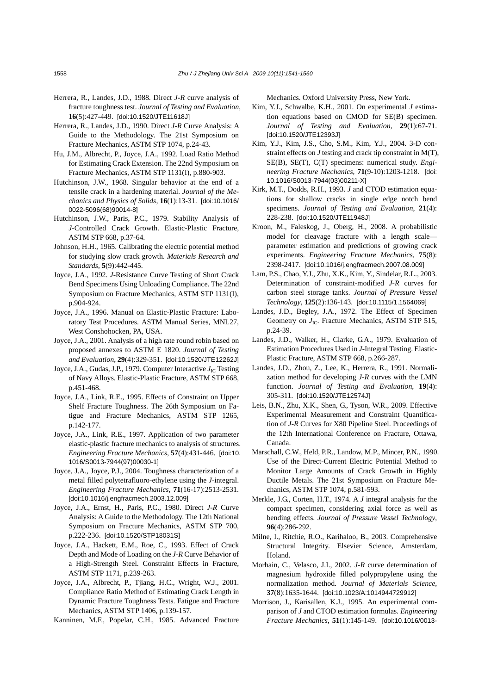- Herrera, R., Landes, J.D., 1988. Direct *J*-*R* curve analysis of fracture toughness test. *Journal of Testing and Evaluation*, **16**(5):427-449. [doi:10.1520/JTE11618J]
- Herrera, R., Landes, J.D., 1990. Direct *J*-*R* Curve Analysis: A Guide to the Methodology. The 21st Symposium on Fracture Mechanics, ASTM STP 1074, p.24-43.
- Hu, J.M., Albrecht, P., Joyce, J.A., 1992. Load Ratio Method for Estimating Crack Extension. The 22nd Symposium on Fracture Mechanics, ASTM STP 1131(I), p.880-903.
- Hutchinson, J.W., 1968. Singular behavior at the end of a tensile crack in a hardening material. *Journal of the Mechanics and Physics of Solids*, **16**(1):13-31. [doi:10.1016/ 0022-5096(68)90014-8]
- Hutchinson, J.W., Paris, P.C., 1979. Stability Analysis of *J*-Controlled Crack Growth. Elastic-Plastic Fracture, ASTM STP 668, p.37-64.
- Johnson, H.H., 1965. Calibrating the electric potential method for studying slow crack growth. *Materials Research and Standards*, **5**(9):442-445.
- Joyce, J.A., 1992. *J*-Resistance Curve Testing of Short Crack Bend Specimens Using Unloading Compliance. The 22nd Symposium on Fracture Mechanics, ASTM STP 1131(I), p.904-924.
- Joyce, J.A., 1996. Manual on Elastic-Plastic Fracture: Laboratory Test Procedures. ASTM Manual Series, MNL27, West Conshohocken, PA, USA.
- Joyce, J.A., 2001. Analysis of a high rate round robin based on proposed annexes to ASTM E 1820. *Journal of Testing and Evaluation*, **29**(4):329-351. [doi:10.1520/JTE12262J]
- Joyce, J.A., Gudas, J.P., 1979. Computer Interactive *J*<sub>IC</sub> Testing of Navy Alloys. Elastic-Plastic Fracture, ASTM STP 668, p.451-468.
- Joyce, J.A., Link, R.E., 1995. Effects of Constraint on Upper Shelf Fracture Toughness. The 26th Symposium on Fatigue and Fracture Mechanics, ASTM STP 1265, p.142-177.
- Joyce, J.A., Link, R.E., 1997. Application of two parameter elastic-plastic fracture mechanics to analysis of structures. *Engineering Fracture Mechanics*, **57**(4):431-446. [doi:10. 1016/S0013-7944(97)00030-1]
- Joyce, J.A., Joyce, P.J., 2004. Toughness characterization of a metal filled polytetrafluoro-ethylene using the *J*-integral. *Engineering Fracture Mechanics*, **71**(16-17):2513-2531. [doi:10.1016/j.engfracmech.2003.12.009]
- Joyce, J.A., Ernst, H., Paris, P.C., 1980. Direct *J*-*R* Curve Analysis: A Guide to the Methodology. The 12th National Symposium on Fracture Mechanics, ASTM STP 700, p.222-236. [doi:10.1520/STP18031S]
- Joyce, J.A., Hackett, E.M., Roe, C., 1993. Effect of Crack Depth and Mode of Loading on the *J*-*R* Curve Behavior of a High-Strength Steel. Constraint Effects in Fracture, ASTM STP 1171, p.239-263.
- Joyce, J.A., Albrecht, P., Tjiang, H.C., Wright, W.J., 2001. Compliance Ratio Method of Estimating Crack Length in Dynamic Fracture Toughness Tests. Fatigue and Fracture Mechanics, ASTM STP 1406, p.139-157.

Kanninen, M.F., Popelar, C.H., 1985. Advanced Fracture

Mechanics. Oxford University Press, New York.

- Kim, Y.J., Schwalbe, K.H., 2001. On experimental *J* estimation equations based on CMOD for SE(B) specimen. *Journal of Testing and Evaluation*, **29**(1):67-71. [doi:10.1520/JTE12393J]
- Kim, Y.J., Kim, J.S., Cho, S.M., Kim, Y.J., 2004. 3-D constraint effects on *J* testing and crack tip constraint in M(T), SE(B), SE(T), C(T) specimens: numerical study. *Engineering Fracture Mechanics*, **71**(9-10):1203-1218. [doi: 10.1016/S0013-7944(03)00211-X]
- Kirk, M.T., Dodds, R.H., 1993. *J* and CTOD estimation equations for shallow cracks in single edge notch bend specimens. *Journal of Testing and Evaluation*, **21**(4): 228-238. [doi:10.1520/JTE11948J]
- Kroon, M., Faleskog, J., Oberg, H., 2008. A probabilistic model for cleavage fracture with a length scale parameter estimation and predictions of growing crack experiments. *Engineering Fracture Mechanics*, **75**(8): 2398-2417. [doi:10.1016/j.engfracmech.2007.08.009]
- Lam, P.S., Chao, Y.J., Zhu, X.K., Kim, Y., Sindelar, R.L., 2003. Determination of constraint-modified *J*-*R* curves for carbon steel storage tanks. *Journal of Pressure Vessel Technology*, **125**(2):136-143. [doi:10.1115/1.1564069]
- Landes, J.D., Begley, J.A., 1972. The Effect of Specimen Geometry on  $J_{IC}$ . Fracture Mechanics, ASTM STP 515, p.24-39.
- Landes, J.D., Walker, H., Clarke, G.A., 1979. Evaluation of Estimation Procedures Used in *J*-Integral Testing. Elastic-Plastic Fracture, ASTM STP 668, p.266-287.
- Landes, J.D., Zhou, Z., Lee, K., Herrera, R., 1991. Normalization method for developing *J*-*R* curves with the LMN function. *Journal of Testing and Evaluation*, **19**(4): 305-311. [doi:10.1520/JTE12574J]
- Leis, B.N., Zhu, X.K., Shen, G., Tyson, W.R., 2009. Effective Experimental Measurement and Constraint Quantification of *J*-*R* Curves for X80 Pipeline Steel. Proceedings of the 12th International Conference on Fracture, Ottawa, Canada.
- Marschall, C.W., Held, P.R., Landow, M.P., Mincer, P.N., 1990. Use of the Direct-Current Electric Potential Method to Monitor Large Amounts of Crack Growth in Highly Ductile Metals. The 21st Symposium on Fracture Mechanics, ASTM STP 1074, p.581-593.
- Merkle, J.G., Corten, H.T., 1974. A *J* integral analysis for the compact specimen, considering axial force as well as bending effects. *Journal of Pressure Vessel Technology*, **96**(4):286-292.
- Milne, I., Ritchie, R.O., Karihaloo, B., 2003. Comprehensive Structural Integrity. Elsevier Science, Amsterdam, Holand.
- Morhain, C., Velasco, J.I., 2002. *J*-*R* curve determination of magnesium hydroxide filled polypropylene using the normalization method. *Journal of Materials Science*, **37**(8):1635-1644. [doi:10.1023/A:1014944729912]
- Morrison, J., Karisallen, K.J., 1995. An experimental comparison of *J* and CTOD estimation formulas. *Engineering Fracture Mechanics*, **51**(1):145-149. [doi:10.1016/0013-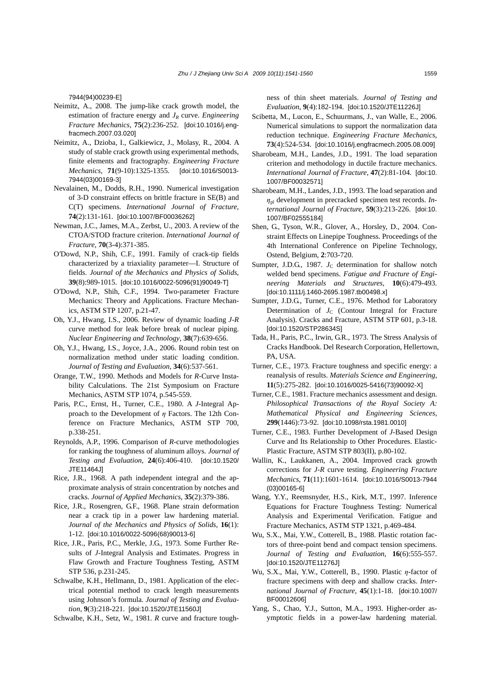7944(94)00239-E]

- Neimitz, A., 2008. The jump-like crack growth model, the estimation of fracture energy and *JR* curve. *Engineering Fracture Mechanics*, **75**(2):236-252. [doi:10.1016/j.engfracmech.2007.03.020]
- Neimitz, A., Dzioba, I., Galkiewicz, J., Molasy, R., 2004. A study of stable crack growth using experimental methods, finite elements and fractography. *Engineering Fracture Mechanics*, **71**(9-10):1325-1355. [doi:10.1016/S0013- 7944(03)00169-3]
- Nevalainen, M., Dodds, R.H., 1990. Numerical investigation of 3-D constraint effects on brittle fracture in SE(B) and C(T) specimens. *International Journal of Fracture*, **74**(2):131-161. [doi:10.1007/BF00036262]
- Newman, J.C., James, M.A., Zerbst, U., 2003. A review of the CTOA/STOD fracture criterion. *International Journal of Fracture*, **70**(3-4):371-385.
- O′Dowd, N.P., Shih, C.F., 1991. Family of crack-tip fields characterized by a triaxiality parameter—I. Structure of fields. *Journal of the Mechanics and Physics of Solids*, **39**(8):989-1015. [doi:10.1016/0022-5096(91)90049-T]
- O′Dowd, N.P., Shih, C.F., 1994. Two-parameter Fracture Mechanics: Theory and Applications. Fracture Mechanics, ASTM STP 1207, p.21-47.
- Oh, Y.J., Hwang, I.S., 2006. Review of dynamic loading *J*-*R* curve method for leak before break of nuclear piping. *Nuclear Engineering and Technology*, **38**(7):639-656.
- Oh, Y.J., Hwang, I.S., Joyce, J.A., 2006. Round robin test on normalization method under static loading condition. *Journal of Testing and Evaluation*, **34**(6):537-561.
- Orange, T.W., 1990. Methods and Models for *R*-Curve Instability Calculations. The 21st Symposium on Fracture Mechanics, ASTM STP 1074, p.545-559.
- Paris, P.C., Ernst, H., Turner, C.E., 1980. A *J*-Integral Approach to the Development of *η* Factors. The 12th Conference on Fracture Mechanics, ASTM STP 700, p.338-251.
- Reynolds, A.P., 1996. Comparison of *R*-curve methodologies for ranking the toughness of aluminum alloys. *Journal of Testing and Evaluation*, **24**(6):406-410. [doi:10.1520/ JTE11464J]
- Rice, J.R., 1968. A path independent integral and the approximate analysis of strain concentration by notches and cracks. *Journal of Applied Mechanics*, **35**(2):379-386.
- Rice, J.R., Rosengren, G.F., 1968. Plane strain deformation near a crack tip in a power law hardening material. *Journal of the Mechanics and Physics of Solids*, **16**(1): 1-12. [doi:10.1016/0022-5096(68)90013-6]
- Rice, J.R., Paris, P.C., Merkle, J.G., 1973. Some Further Results of *J*-Integral Analysis and Estimates. Progress in Flaw Growth and Fracture Toughness Testing, ASTM STP 536, p.231-245.
- Schwalbe, K.H., Hellmann, D., 1981. Application of the electrical potential method to crack length measurements using Johnson's formula. *Journal of Testing and Evaluation*, **9**(3):218-221. [doi:10.1520/JTE11560J]

Schwalbe, K.H., Setz, W., 1981. *R* curve and fracture tough-

ness of thin sheet materials. *Journal of Testing and Evaluation*, **9**(4):182-194. [doi:10.1520/JTE11226J]

- Scibetta, M., Lucon, E., Schuurmans, J., van Walle, E., 2006. Numerical simulations to support the normalization data reduction technique. *Engineering Fracture Mechanics*, **73**(4):524-534. [doi:10.1016/j.engfracmech.2005.08.009]
- Sharobeam, M.H., Landes, J.D., 1991. The load separation criterion and methodology in ductile fracture mechanics. *International Journal of Fracture*, **47**(2):81-104. [doi:10. 1007/BF00032571]
- Sharobeam, M.H., Landes, J.D., 1993. The load separation and *η*pl development in precracked specimen test records. *International Journal of Fracture*, **59**(3):213-226. [doi:10. 1007/BF02555184]
- Shen, G., Tyson, W.R., Glover, A., Horsley, D., 2004. Constraint Effects on Linepipe Toughness. Proceedings of the 4th International Conference on Pipeline Technology, Ostend, Belgium, **2**:703-720.
- Sumpter, J.D.G., 1987. *J<sub>C</sub>* determination for shallow notch welded bend specimens. *Fatigue and Fracture of Engineering Materials and Structures*, **10**(6):479-493. [doi:10.1111/j.1460-2695.1987.tb00498.x]
- Sumpter, J.D.G., Turner, C.E., 1976. Method for Laboratory Determination of  $J_C$  (Contour Integral for Fracture Analysis). Cracks and Fracture, ASTM STP 601, p.3-18. [doi:10.1520/STP28634S]
- Tada, H., Paris, P.C., Irwin, G.R., 1973. The Stress Analysis of Cracks Handbook. Del Research Corporation, Hellertown, PA, USA.
- Turner, C.E., 1973. Fracture toughness and specific energy: a reanalysis of results. *Materials Science and Engineering*, **11**(5):275-282. [doi:10.1016/0025-5416(73)90092-X]
- Turner, C.E., 1981. Fracture mechanics assessment and design. *Philosophical Transactions of the Royal Society A: Mathematical Physical and Engineering Sciences*, **299**(1446):73-92. [doi:10.1098/rsta.1981.0010]
- Turner, C.E., 1983. Further Development of *J*-Based Design Curve and Its Relationship to Other Procedures. Elastic-Plastic Fracture, ASTM STP 803(II), p.80-102.
- Wallin, K., Laukkanen, A., 2004. Improved crack growth corrections for *J*-*R* curve testing. *Engineering Fracture Mechanics*, **71**(11):1601-1614. [doi:10.1016/S0013-7944 (03)00165-6]
- Wang, Y.Y., Reemsnyder, H.S., Kirk, M.T., 1997. Inference Equations for Fracture Toughness Testing: Numerical Analysis and Experimental Verification. Fatigue and Fracture Mechanics, ASTM STP 1321, p.469-484.
- Wu, S.X., Mai, Y.W., Cotterell, B., 1988. Plastic rotation factors of three-point bend and compact tension specimens. *Journal of Testing and Evaluation*, **16**(6):555-557. [doi:10.1520/JTE11276J]
- Wu, S.X., Mai, Y.W., Cotterell, B., 1990. Plastic *η*-factor of fracture specimens with deep and shallow cracks. *International Journal of Fracture*, **45**(1):1-18. [doi:10.1007/ BF00012606]
- Yang, S., Chao, Y.J., Sutton, M.A., 1993. Higher-order asymptotic fields in a power-law hardening material.